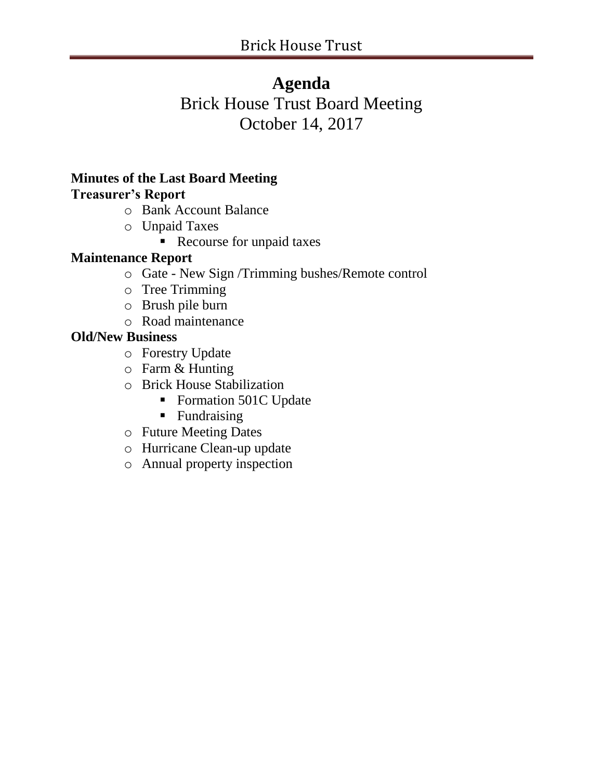## **Agenda**

# Brick House Trust Board Meeting October 14, 2017

#### **Minutes of the Last Board Meeting Treasurer's Report**

- o Bank Account Balance
- o Unpaid Taxes
	- Recourse for unpaid taxes

## **Maintenance Report**

- o Gate New Sign /Trimming bushes/Remote control
- o Tree Trimming
- o Brush pile burn
- o Road maintenance

## **Old/New Business**

- o Forestry Update
- o Farm & Hunting
- o Brick House Stabilization
	- Formation 501C Update
	- Fundraising
- o Future Meeting Dates
- o Hurricane Clean-up update
- o Annual property inspection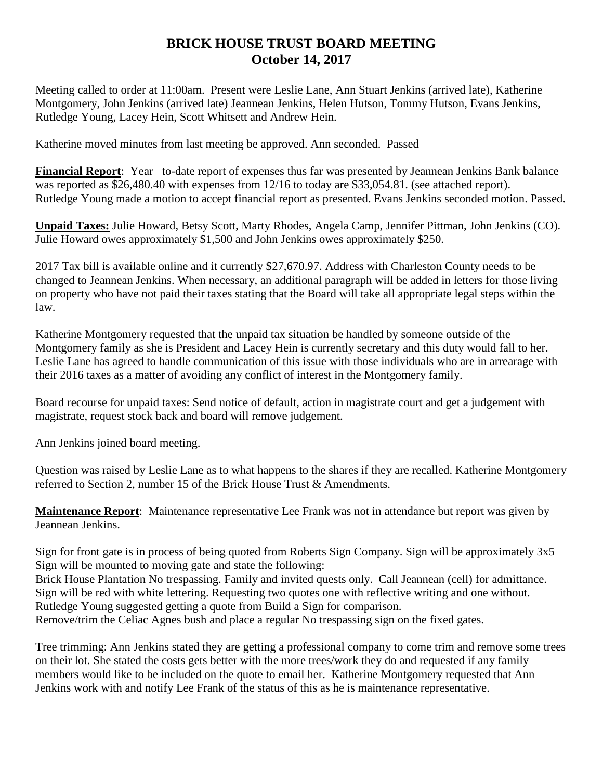#### **BRICK HOUSE TRUST BOARD MEETING October 14, 2017**

Meeting called to order at 11:00am. Present were Leslie Lane, Ann Stuart Jenkins (arrived late), Katherine Montgomery, John Jenkins (arrived late) Jeannean Jenkins, Helen Hutson, Tommy Hutson, Evans Jenkins, Rutledge Young, Lacey Hein, Scott Whitsett and Andrew Hein.

Katherine moved minutes from last meeting be approved. Ann seconded. Passed

**Financial Report**: Year –to-date report of expenses thus far was presented by Jeannean Jenkins Bank balance was reported as \$26,480.40 with expenses from 12/16 to today are \$33,054.81. (see attached report). Rutledge Young made a motion to accept financial report as presented. Evans Jenkins seconded motion. Passed.

**Unpaid Taxes:** Julie Howard, Betsy Scott, Marty Rhodes, Angela Camp, Jennifer Pittman, John Jenkins (CO). Julie Howard owes approximately \$1,500 and John Jenkins owes approximately \$250.

2017 Tax bill is available online and it currently \$27,670.97. Address with Charleston County needs to be changed to Jeannean Jenkins. When necessary, an additional paragraph will be added in letters for those living on property who have not paid their taxes stating that the Board will take all appropriate legal steps within the law.

Katherine Montgomery requested that the unpaid tax situation be handled by someone outside of the Montgomery family as she is President and Lacey Hein is currently secretary and this duty would fall to her. Leslie Lane has agreed to handle communication of this issue with those individuals who are in arrearage with their 2016 taxes as a matter of avoiding any conflict of interest in the Montgomery family.

Board recourse for unpaid taxes: Send notice of default, action in magistrate court and get a judgement with magistrate, request stock back and board will remove judgement.

Ann Jenkins joined board meeting.

Question was raised by Leslie Lane as to what happens to the shares if they are recalled. Katherine Montgomery referred to Section 2, number 15 of the Brick House Trust & Amendments.

**Maintenance Report**: Maintenance representative Lee Frank was not in attendance but report was given by Jeannean Jenkins.

Sign for front gate is in process of being quoted from Roberts Sign Company. Sign will be approximately 3x5 Sign will be mounted to moving gate and state the following:

Brick House Plantation No trespassing. Family and invited quests only. Call Jeannean (cell) for admittance. Sign will be red with white lettering. Requesting two quotes one with reflective writing and one without. Rutledge Young suggested getting a quote from Build a Sign for comparison. Remove/trim the Celiac Agnes bush and place a regular No trespassing sign on the fixed gates.

Tree trimming: Ann Jenkins stated they are getting a professional company to come trim and remove some trees on their lot. She stated the costs gets better with the more trees/work they do and requested if any family members would like to be included on the quote to email her. Katherine Montgomery requested that Ann Jenkins work with and notify Lee Frank of the status of this as he is maintenance representative.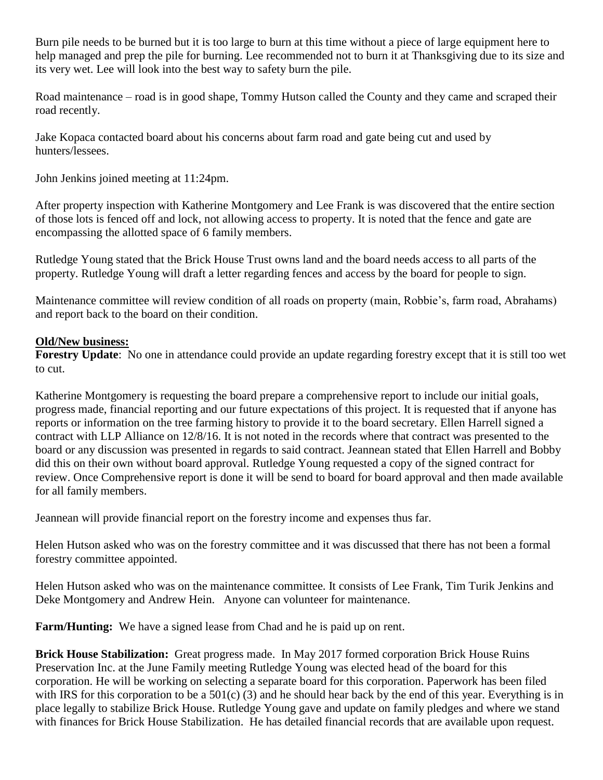Burn pile needs to be burned but it is too large to burn at this time without a piece of large equipment here to help managed and prep the pile for burning. Lee recommended not to burn it at Thanksgiving due to its size and its very wet. Lee will look into the best way to safety burn the pile.

Road maintenance – road is in good shape, Tommy Hutson called the County and they came and scraped their road recently.

Jake Kopaca contacted board about his concerns about farm road and gate being cut and used by hunters/lessees.

John Jenkins joined meeting at 11:24pm.

After property inspection with Katherine Montgomery and Lee Frank is was discovered that the entire section of those lots is fenced off and lock, not allowing access to property. It is noted that the fence and gate are encompassing the allotted space of 6 family members.

Rutledge Young stated that the Brick House Trust owns land and the board needs access to all parts of the property. Rutledge Young will draft a letter regarding fences and access by the board for people to sign.

Maintenance committee will review condition of all roads on property (main, Robbie's, farm road, Abrahams) and report back to the board on their condition.

#### **Old/New business:**

**Forestry Update**: No one in attendance could provide an update regarding forestry except that it is still too wet to cut.

Katherine Montgomery is requesting the board prepare a comprehensive report to include our initial goals, progress made, financial reporting and our future expectations of this project. It is requested that if anyone has reports or information on the tree farming history to provide it to the board secretary. Ellen Harrell signed a contract with LLP Alliance on 12/8/16. It is not noted in the records where that contract was presented to the board or any discussion was presented in regards to said contract. Jeannean stated that Ellen Harrell and Bobby did this on their own without board approval. Rutledge Young requested a copy of the signed contract for review. Once Comprehensive report is done it will be send to board for board approval and then made available for all family members.

Jeannean will provide financial report on the forestry income and expenses thus far.

Helen Hutson asked who was on the forestry committee and it was discussed that there has not been a formal forestry committee appointed.

Helen Hutson asked who was on the maintenance committee. It consists of Lee Frank, Tim Turik Jenkins and Deke Montgomery and Andrew Hein. Anyone can volunteer for maintenance.

**Farm/Hunting:** We have a signed lease from Chad and he is paid up on rent.

**Brick House Stabilization:** Great progress made. In May 2017 formed corporation Brick House Ruins Preservation Inc. at the June Family meeting Rutledge Young was elected head of the board for this corporation. He will be working on selecting a separate board for this corporation. Paperwork has been filed with IRS for this corporation to be a  $501(c)$  (3) and he should hear back by the end of this year. Everything is in place legally to stabilize Brick House. Rutledge Young gave and update on family pledges and where we stand with finances for Brick House Stabilization. He has detailed financial records that are available upon request.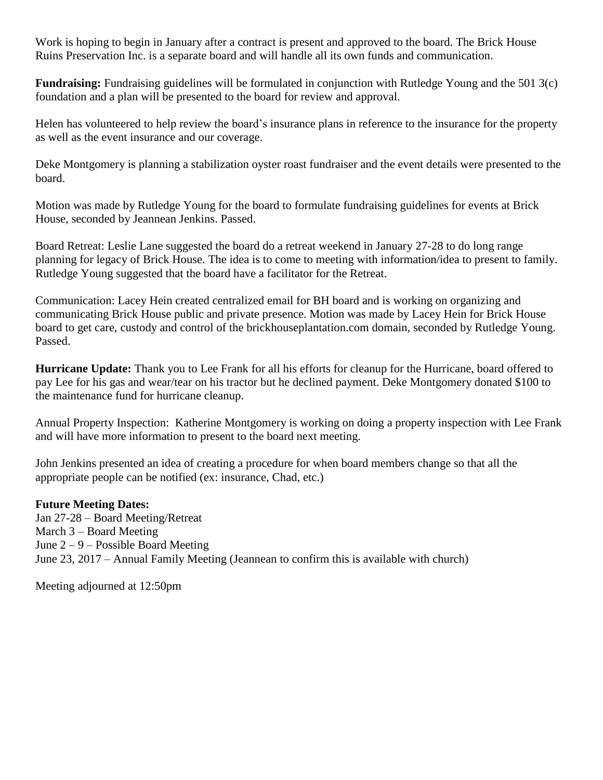Work is hoping to begin in January after a contract is present and approved to the board. The Brick House Ruins Preservation Inc. is a separate board and will handle all its own funds and communication.

**Fundraising:** Fundraising guidelines will be formulated in conjunction with Rutledge Young and the 501 3(c) foundation and a plan will be presented to the board for review and approval.

Helen has volunteered to help review the board's insurance plans in reference to the insurance for the property as well as the event insurance and our coverage.

Deke Montgomery is planning a stabilization oyster roast fundraiser and the event details were presented to the board.

Motion was made by Rutledge Young for the board to formulate fundraising guidelines for events at Brick House, seconded by Jeannean Jenkins. Passed.

Board Retreat: Leslie Lane suggested the board do a retreat weekend in January 27-28 to do long range planning for legacy of Brick House. The idea is to come to meeting with information/idea to present to family. Rutledge Young suggested that the board have a facilitator for the Retreat.

Communication: Lacey Hein created centralized email for BH board and is working on organizing and communicating Brick House public and private presence. Motion was made by Lacey Hein for Brick House board to get care, custody and control of the brickhouseplantation.com domain, seconded by Rutledge Young. Passed.

**Hurricane Update:** Thank you to Lee Frank for all his efforts for cleanup for the Hurricane, board offered to pay Lee for his gas and wear/tear on his tractor but he declined payment. Deke Montgomery donated \$100 to the maintenance fund for hurricane cleanup.

Annual Property Inspection: Katherine Montgomery is working on doing a property inspection with Lee Frank and will have more information to present to the board next meeting.

John Jenkins presented an idea of creating a procedure for when board members change so that all the appropriate people can be notified (ex: insurance, Chad, etc.)

#### **Future Meeting Dates:**

Jan 27-28 – Board Meeting/Retreat March 3 – Board Meeting June 2 – 9 – Possible Board Meeting June 23, 2017 – Annual Family Meeting (Jeannean to confirm this is available with church)

Meeting adjourned at 12:50pm